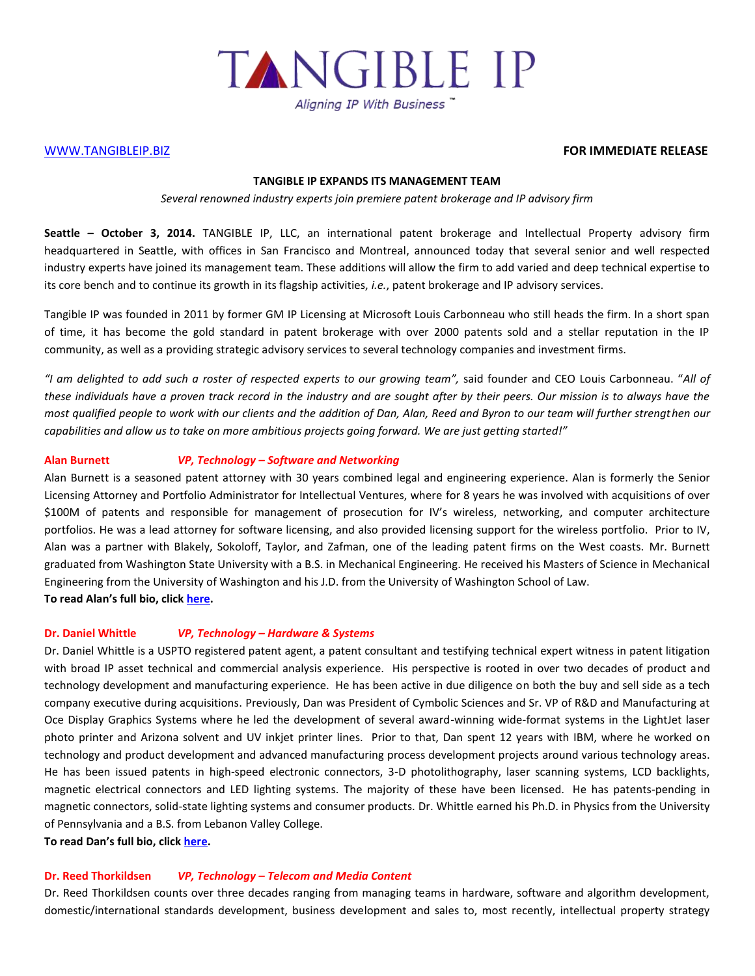

## [WWW.TANGIBLEIP.BIZ](http://www.tangibleip.biz/) **FOR IMMEDIATE RELEASE**

#### **TANGIBLE IP EXPANDS ITS MANAGEMENT TEAM**

#### *Several renowned industry experts join premiere patent brokerage and IP advisory firm*

**Seattle – October 3, 2014.** TANGIBLE IP, LLC, an international patent brokerage and Intellectual Property advisory firm headquartered in Seattle, with offices in San Francisco and Montreal, announced today that several senior and well respected industry experts have joined its management team. These additions will allow the firm to add varied and deep technical expertise to its core bench and to continue its growth in its flagship activities, *i.e.*, patent brokerage and IP advisory services.

Tangible IP was founded in 2011 by former GM IP Licensing at Microsoft Louis Carbonneau who still heads the firm. In a short span of time, it has become the gold standard in patent brokerage with over 2000 patents sold and a stellar reputation in the IP community, as well as a providing strategic advisory services to several technology companies and investment firms.

*"I am delighted to add such a roster of respected experts to our growing team",* said founder and CEO Louis Carbonneau. "*All of these individuals have a proven track record in the industry and are sought after by their peers. Our mission is to always have the most qualified people to work with our clients and the addition of Dan, Alan, Reed and Byron to our team will further strengthen our capabilities and allow us to take on more ambitious projects going forward. We are just getting started!"*

**Alan Burnett** *VP, Technology – Software and Networking*

Alan Burnett is a seasoned patent attorney with 30 years combined legal and engineering experience. Alan is formerly the Senior Licensing Attorney and Portfolio Administrator for Intellectual Ventures, where for 8 years he was involved with acquisitions of over \$100M of patents and responsible for management of prosecution for IV's wireless, networking, and computer architecture portfolios. He was a lead attorney for software licensing, and also provided licensing support for the wireless portfolio. Prior to IV, Alan was a partner with Blakely, Sokoloff, Taylor, and Zafman, one of the leading patent firms on the West coasts. Mr. Burnett graduated from Washington State University with a B.S. in Mechanical Engineering. He received his Masters of Science in Mechanical Engineering from the University of Washington and his J.D. from the University of Washington School of Law. **To read Alan's full bio, click [here.](http://tangibleip.biz/our-team/tip-management/alan-burnett)**

## **Dr. Daniel Whittle** *VP, Technology – Hardware & Systems*

Dr. Daniel Whittle is a USPTO registered patent agent, a patent consultant and testifying technical expert witness in patent litigation with broad IP asset technical and commercial analysis experience. His perspective is rooted in over two decades of product and technology development and manufacturing experience. He has been active in due diligence on both the buy and sell side as a tech company executive during acquisitions. Previously, Dan was President of Cymbolic Sciences and Sr. VP of R&D and Manufacturing at Oce Display Graphics Systems where he led the development of several award-winning wide-format systems in the LightJet laser photo printer and Arizona solvent and UV inkjet printer lines. Prior to that, Dan spent 12 years with IBM, where he worked on technology and product development and advanced manufacturing process development projects around various technology areas. He has been issued patents in high-speed electronic connectors, 3-D photolithography, laser scanning systems, LCD backlights, magnetic electrical connectors and LED lighting systems. The majority of these have been licensed. He has patents-pending in magnetic connectors, solid-state lighting systems and consumer products. Dr. Whittle earned his Ph.D. in Physics from the University of Pennsylvania and a B.S. from Lebanon Valley College.

**To read Dan's full bio, click [here.](http://tangibleip.biz/our-team/tip-management/dr-daniel-whittle)**

#### **Dr. Reed Thorkildsen** *VP, Technology – Telecom and Media Content*

Dr. Reed Thorkildsen counts over three decades ranging from managing teams in hardware, software and algorithm development, domestic/international standards development, business development and sales to, most recently, intellectual property strategy